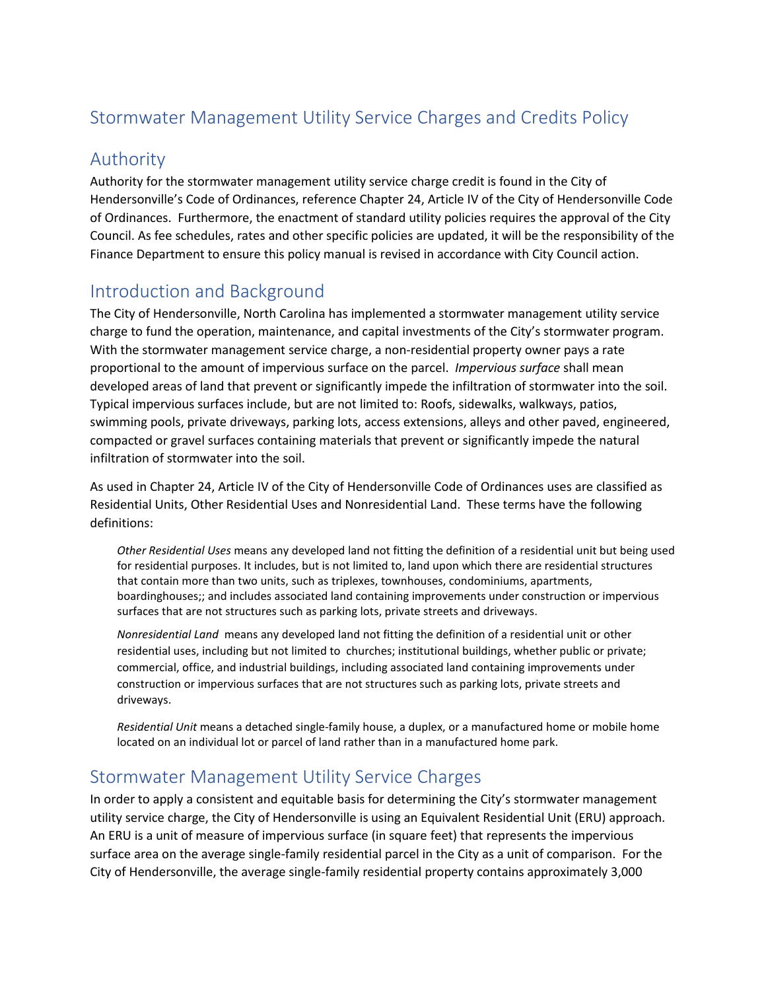# Stormwater Management Utility Service Charges and Credits Policy

#### Authority

Authority for the stormwater management utility service charge credit is found in the City of Hendersonville's Code of Ordinances, reference Chapter 24, Article IV of the City of Hendersonville Code of Ordinances. Furthermore, the enactment of standard utility policies requires the approval of the City Council. As fee schedules, rates and other specific policies are updated, it will be the responsibility of the Finance Department to ensure this policy manual is revised in accordance with City Council action.

## Introduction and Background

The City of Hendersonville, North Carolina has implemented a stormwater management utility service charge to fund the operation, maintenance, and capital investments of the City's stormwater program. With the stormwater management service charge, a non-residential property owner pays a rate proportional to the amount of impervious surface on the parcel. *Impervious surface* shall mean developed areas of land that prevent or significantly impede the infiltration of stormwater into the soil. Typical impervious surfaces include, but are not limited to: Roofs, sidewalks, walkways, patios, swimming pools, private driveways, parking lots, access extensions, alleys and other paved, engineered, compacted or gravel surfaces containing materials that prevent or significantly impede the natural infiltration of stormwater into the soil.

As used in Chapter 24, Article IV of the City of Hendersonville Code of Ordinances uses are classified as Residential Units, Other Residential Uses and Nonresidential Land. These terms have the following definitions:

*Other Residential Uses* means any developed land not fitting the definition of a residential unit but being used for residential purposes. It includes, but is not limited to, land upon which there are residential structures that contain more than two units, such as triplexes, townhouses, condominiums, apartments, boardinghouses;; and includes associated land containing improvements under construction or impervious surfaces that are not structures such as parking lots, private streets and driveways.

*Nonresidential Land* means any developed land not fitting the definition of a residential unit or other residential uses, including but not limited tochurches; institutional buildings, whether public or private; commercial, office, and industrial buildings, including associated land containing improvements under construction or impervious surfaces that are not structures such as parking lots, private streets and driveways.

*Residential Unit* means a detached single-family house, a duplex, or a manufactured home or mobile home located on an individual lot or parcel of land rather than in a manufactured home park.

### Stormwater Management Utility Service Charges

In order to apply a consistent and equitable basis for determining the City's stormwater management utility service charge, the City of Hendersonville is using an Equivalent Residential Unit (ERU) approach. An ERU is a unit of measure of impervious surface (in square feet) that represents the impervious surface area on the average single-family residential parcel in the City as a unit of comparison. For the City of Hendersonville, the average single-family residential property contains approximately 3,000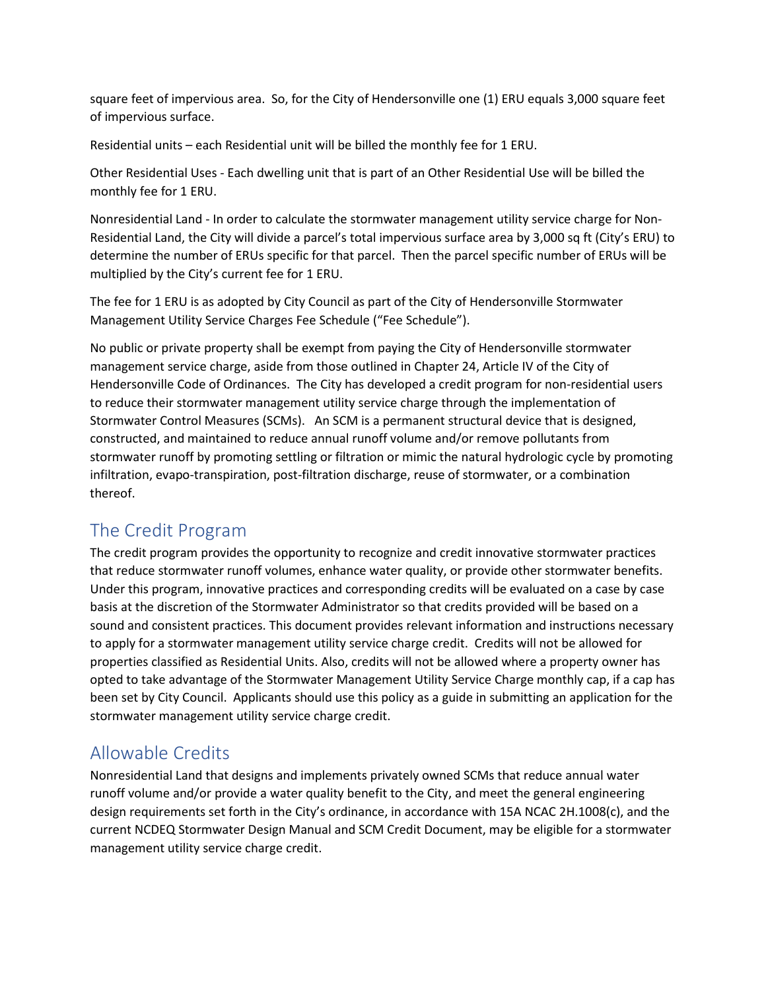square feet of impervious area. So, for the City of Hendersonville one (1) ERU equals 3,000 square feet of impervious surface.

Residential units – each Residential unit will be billed the monthly fee for 1 ERU.

Other Residential Uses - Each dwelling unit that is part of an Other Residential Use will be billed the monthly fee for 1 ERU.

Nonresidential Land - In order to calculate the stormwater management utility service charge for Non-Residential Land, the City will divide a parcel's total impervious surface area by 3,000 sq ft (City's ERU) to determine the number of ERUs specific for that parcel. Then the parcel specific number of ERUs will be multiplied by the City's current fee for 1 ERU.

The fee for 1 ERU is as adopted by City Council as part of the City of Hendersonville Stormwater Management Utility Service Charges Fee Schedule ("Fee Schedule").

No public or private property shall be exempt from paying the City of Hendersonville stormwater management service charge, aside from those outlined in Chapter 24, Article IV of the City of Hendersonville Code of Ordinances. The City has developed a credit program for non-residential users to reduce their stormwater management utility service charge through the implementation of Stormwater Control Measures (SCMs). An SCM is a permanent structural device that is designed, constructed, and maintained to reduce annual runoff volume and/or remove pollutants from stormwater runoff by promoting settling or filtration or mimic the natural hydrologic cycle by promoting infiltration, evapo-transpiration, post-filtration discharge, reuse of stormwater, or a combination thereof.

### The Credit Program

The credit program provides the opportunity to recognize and credit innovative stormwater practices that reduce stormwater runoff volumes, enhance water quality, or provide other stormwater benefits. Under this program, innovative practices and corresponding credits will be evaluated on a case by case basis at the discretion of the Stormwater Administrator so that credits provided will be based on a sound and consistent practices. This document provides relevant information and instructions necessary to apply for a stormwater management utility service charge credit. Credits will not be allowed for properties classified as Residential Units. Also, credits will not be allowed where a property owner has opted to take advantage of the Stormwater Management Utility Service Charge monthly cap, if a cap has been set by City Council. Applicants should use this policy as a guide in submitting an application for the stormwater management utility service charge credit.

### Allowable Credits

Nonresidential Land that designs and implements privately owned SCMs that reduce annual water runoff volume and/or provide a water quality benefit to the City, and meet the general engineering design requirements set forth in the City's ordinance, in accordance with 15A NCAC 2H.1008(c), and the current NCDEQ Stormwater Design Manual and SCM Credit Document, may be eligible for a stormwater management utility service charge credit.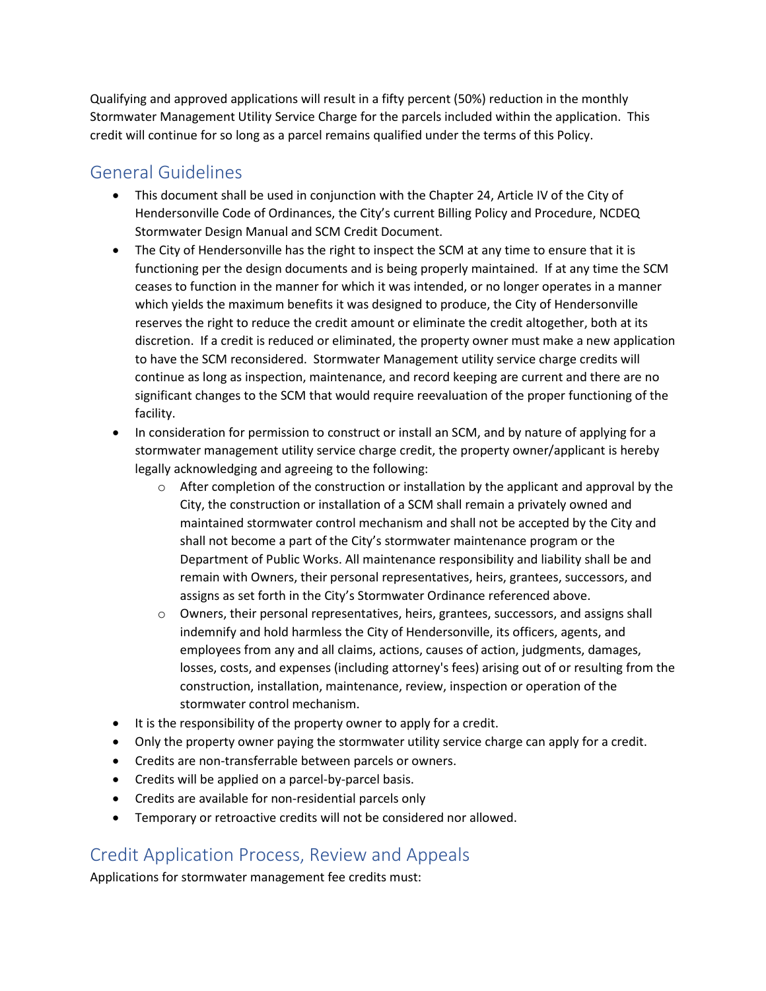Qualifying and approved applications will result in a fifty percent (50%) reduction in the monthly Stormwater Management Utility Service Charge for the parcels included within the application. This credit will continue for so long as a parcel remains qualified under the terms of this Policy.

## General Guidelines

- This document shall be used in conjunction with the Chapter 24, Article IV of the City of Hendersonville Code of Ordinances, the City's current Billing Policy and Procedure, NCDEQ Stormwater Design Manual and SCM Credit Document.
- The City of Hendersonville has the right to inspect the SCM at any time to ensure that it is functioning per the design documents and is being properly maintained. If at any time the SCM ceases to function in the manner for which it was intended, or no longer operates in a manner which yields the maximum benefits it was designed to produce, the City of Hendersonville reserves the right to reduce the credit amount or eliminate the credit altogether, both at its discretion. If a credit is reduced or eliminated, the property owner must make a new application to have the SCM reconsidered. Stormwater Management utility service charge credits will continue as long as inspection, maintenance, and record keeping are current and there are no significant changes to the SCM that would require reevaluation of the proper functioning of the facility.
- In consideration for permission to construct or install an SCM, and by nature of applying for a stormwater management utility service charge credit, the property owner/applicant is hereby legally acknowledging and agreeing to the following:
	- $\circ$  After completion of the construction or installation by the applicant and approval by the City, the construction or installation of a SCM shall remain a privately owned and maintained stormwater control mechanism and shall not be accepted by the City and shall not become a part of the City's stormwater maintenance program or the Department of Public Works. All maintenance responsibility and liability shall be and remain with Owners, their personal representatives, heirs, grantees, successors, and assigns as set forth in the City's Stormwater Ordinance referenced above.
	- $\circ$  Owners, their personal representatives, heirs, grantees, successors, and assigns shall indemnify and hold harmless the City of Hendersonville, its officers, agents, and employees from any and all claims, actions, causes of action, judgments, damages, losses, costs, and expenses (including attorney's fees) arising out of or resulting from the construction, installation, maintenance, review, inspection or operation of the stormwater control mechanism.
- It is the responsibility of the property owner to apply for a credit.
- Only the property owner paying the stormwater utility service charge can apply for a credit.
- Credits are non-transferrable between parcels or owners.
- Credits will be applied on a parcel-by-parcel basis.
- Credits are available for non-residential parcels only
- Temporary or retroactive credits will not be considered nor allowed.

### Credit Application Process, Review and Appeals

Applications for stormwater management fee credits must: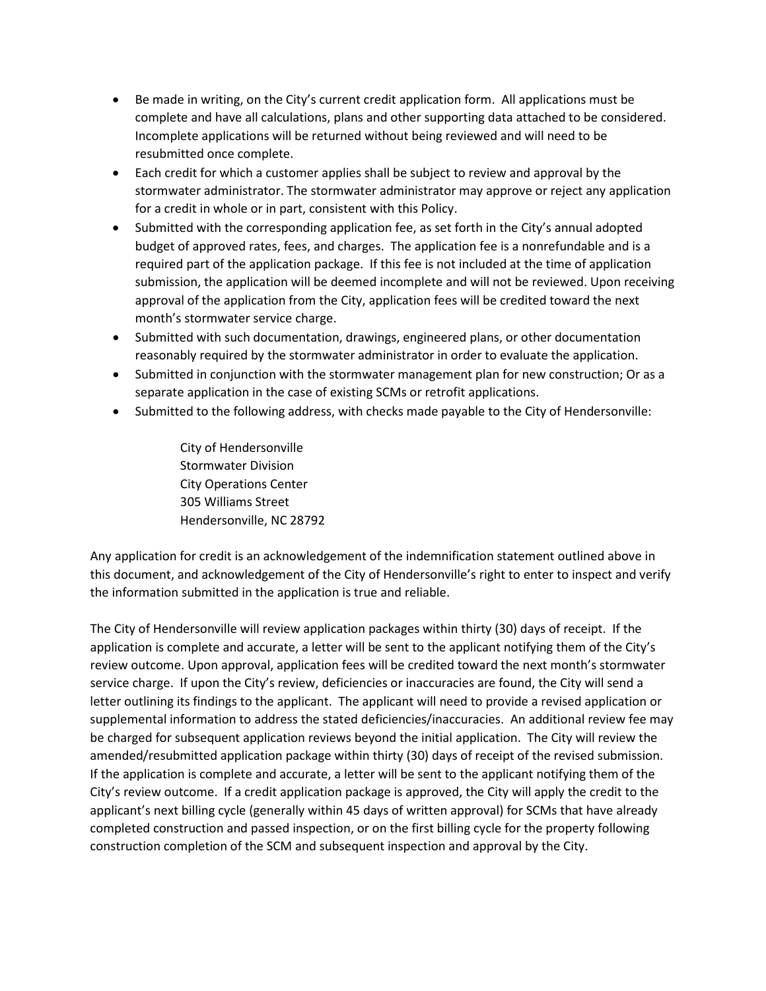- Be made in writing, on the City's current credit application form. All applications must be complete and have all calculations, plans and other supporting data attached to be considered. Incomplete applications will be returned without being reviewed and will need to be resubmitted once complete.
- Each credit for which a customer applies shall be subject to review and approval by the stormwater administrator. The stormwater administrator may approve or reject any application for a credit in whole or in part, consistent with this Policy.
- Submitted with the corresponding application fee, as set forth in the City's annual adopted budget of approved rates, fees, and charges. The application fee is a nonrefundable and is a required part of the application package. If this fee is not included at the time of application submission, the application will be deemed incomplete and will not be reviewed. Upon receiving approval of the application from the City, application fees will be credited toward the next month's stormwater service charge.
- Submitted with such documentation, drawings, engineered plans, or other documentation reasonably required by the stormwater administrator in order to evaluate the application.
- Submitted in conjunction with the stormwater management plan for new construction; Or as a separate application in the case of existing SCMs or retrofit applications.
- Submitted to the following address, with checks made payable to the City of Hendersonville:

City of Hendersonville Stormwater Division City Operations Center 305 Williams Street Hendersonville, NC 28792

Any application for credit is an acknowledgement of the indemnification statement outlined above in this document, and acknowledgement of the City of Hendersonville's right to enter to inspect and verify the information submitted in the application is true and reliable.

The City of Hendersonville will review application packages within thirty (30) days of receipt. If the application is complete and accurate, a letter will be sent to the applicant notifying them of the City's review outcome. Upon approval, application fees will be credited toward the next month's stormwater service charge. If upon the City's review, deficiencies or inaccuracies are found, the City will send a letter outlining its findings to the applicant. The applicant will need to provide a revised application or supplemental information to address the stated deficiencies/inaccuracies. An additional review fee may be charged for subsequent application reviews beyond the initial application. The City will review the amended/resubmitted application package within thirty (30) days of receipt of the revised submission. If the application is complete and accurate, a letter will be sent to the applicant notifying them of the City's review outcome. If a credit application package is approved, the City will apply the credit to the applicant's next billing cycle (generally within 45 days of written approval) for SCMs that have already completed construction and passed inspection, or on the first billing cycle for the property following construction completion of the SCM and subsequent inspection and approval by the City.